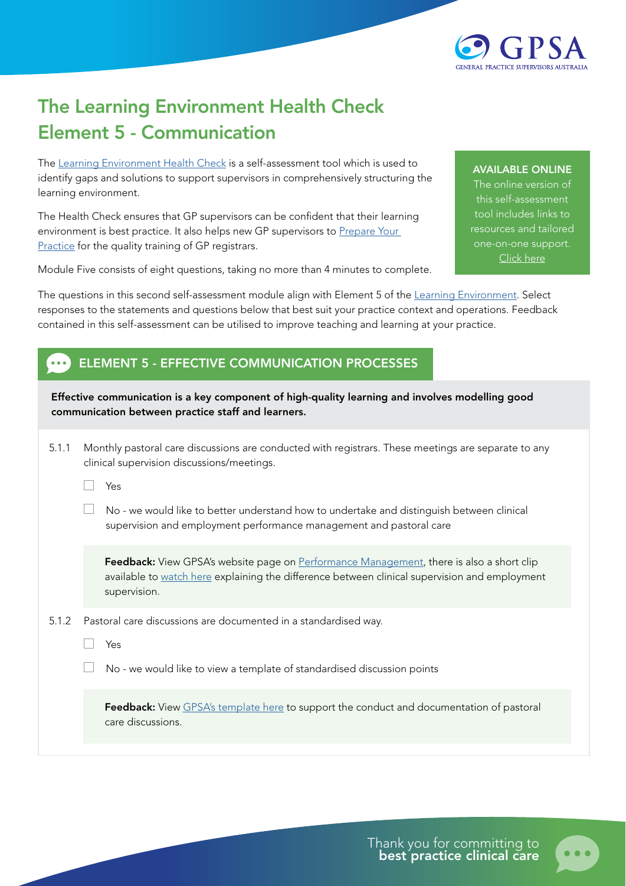

## The Learning Environment Health Check Element 5 - Communication

The [Learning Environment Health Check](https://gpsupervisorsaustralia.org.au/learning-environment-health-check/) is a self-assessment tool which is used to identify gaps and solutions to support supervisors in comprehensively structuring the learning environment.

The Health Check ensures that GP supervisors can be confident that their learning environment is best practice. It also helps new GP supervisors to Prepare Your [Practice](https://gpsupervisorsaustralia.org.au/prepare-your-practice/) for the quality training of GP registrars.

Module Five consists of eight questions, taking no more than 4 minutes to complete.

## AVAILABLE ONLINE

The online version of this self-assessment tool includes links to resources and tailored one-on-one support. [Click here](https://gpsupervisorsaustralia.org.au/learning-environment-health-check/ )

The questions in this second self-assessment module align with Element 5 of the [Learning Environment.](https://gpsupervisorsaustralia.org.au/the-learning-environment/) Select responses to the statements and questions below that best suit your practice context and operations. Feedback contained in this self-assessment can be utilised to improve teaching and learning at your practice.

## ELEMENT 5 - EFFECTIVE COMMUNICATION PROCESSES

Effective communication is a key component of high-quality learning and involves modelling good communication between practice staff and learners.

5.1.1 Monthly pastoral care discussions are conducted with registrars. These meetings are separate to any clinical supervision discussions/meetings.

Wes

 $\Box$  No - we would like to better understand how to undertake and distinguish between clinical supervision and employment performance management and pastoral care

Feedback: View GPSA's website page on [Performance Management,](https://gpsupervisorsaustralia.org.au/employment-resources/performance-management/) there is also a short clip available to [watch here](https://youtu.be/awG3M9V5Lmc) explaining the difference between clinical supervision and employment supervision.

5.1.2 Pastoral care discussions are documented in a standardised way.

 $\Box$  Yes

No - we would like to view a template of standardised discussion points

Feedback: View [GPSA's template here](https://gpsupervisorsaustralia.org.au/download/11668/) to support the conduct and documentation of pastoral care discussions.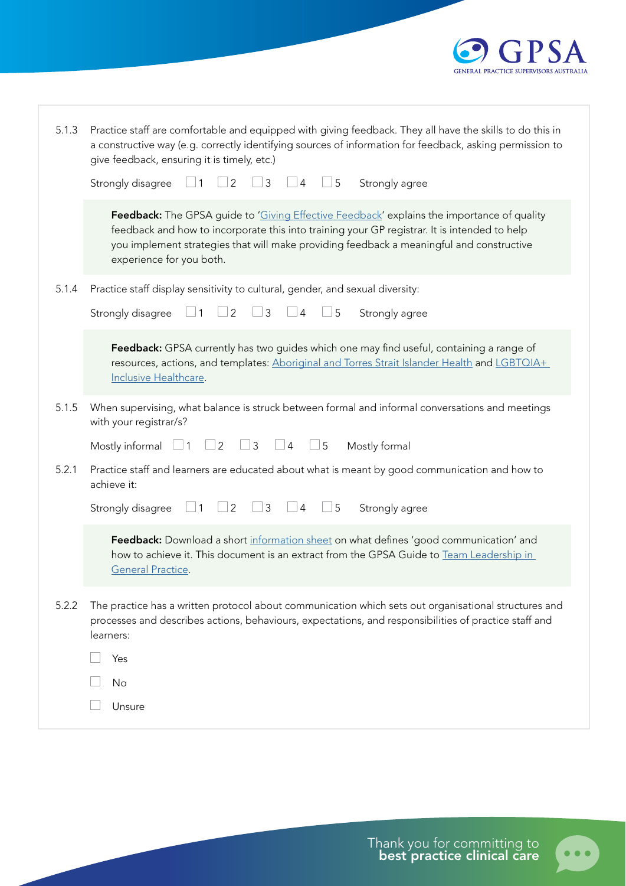

| 5.1.3 | Practice staff are comfortable and equipped with giving feedback. They all have the skills to do this in<br>a constructive way (e.g. correctly identifying sources of information for feedback, asking permission to<br>give feedback, ensuring it is timely, etc.)                                                       |
|-------|---------------------------------------------------------------------------------------------------------------------------------------------------------------------------------------------------------------------------------------------------------------------------------------------------------------------------|
|       | 3<br>Strongly disagree<br>$\overline{2}$<br>5<br>1<br>$\overline{4}$<br>Strongly agree                                                                                                                                                                                                                                    |
|       | <b>Feedback:</b> The GPSA guide to 'Giving Effective Feedback' explains the importance of quality<br>feedback and how to incorporate this into training your GP registrar. It is intended to help<br>you implement strategies that will make providing feedback a meaningful and constructive<br>experience for you both. |
| 5.1.4 | Practice staff display sensitivity to cultural, gender, and sexual diversity:                                                                                                                                                                                                                                             |
|       | 3<br>Strongly disagree<br>2<br>5<br>4<br>Strongly agree                                                                                                                                                                                                                                                                   |
|       | Feedback: GPSA currently has two guides which one may find useful, containing a range of<br>resources, actions, and templates: Aboriginal and Torres Strait Islander Health and LGBTQIA+<br>Inclusive Healthcare.                                                                                                         |
| 5.1.5 | When supervising, what balance is struck between formal and informal conversations and meetings<br>with your registrar/s?                                                                                                                                                                                                 |
|       | $\mathfrak{Z}$<br>$\overline{2}$<br>5<br>Mostly formal<br>Mostly informal<br>$\overline{4}$                                                                                                                                                                                                                               |
| 5.2.1 | Practice staff and learners are educated about what is meant by good communication and how to<br>achieve it:                                                                                                                                                                                                              |
|       | $\overline{2}$<br>3<br>5<br>Strongly disagree<br>$\overline{4}$<br>Strongly agree                                                                                                                                                                                                                                         |
|       | Feedback: Download a short information sheet on what defines 'good communication' and<br>how to achieve it. This document is an extract from the GPSA Guide to Team Leadership in<br>General Practice.                                                                                                                    |
| 5.2.2 | The practice has a written protocol about communication which sets out organisational structures and<br>processes and describes actions, behaviours, expectations, and responsibilities of practice staff and<br>learners:                                                                                                |
|       | Yes                                                                                                                                                                                                                                                                                                                       |
|       | No                                                                                                                                                                                                                                                                                                                        |
|       | Unsure                                                                                                                                                                                                                                                                                                                    |